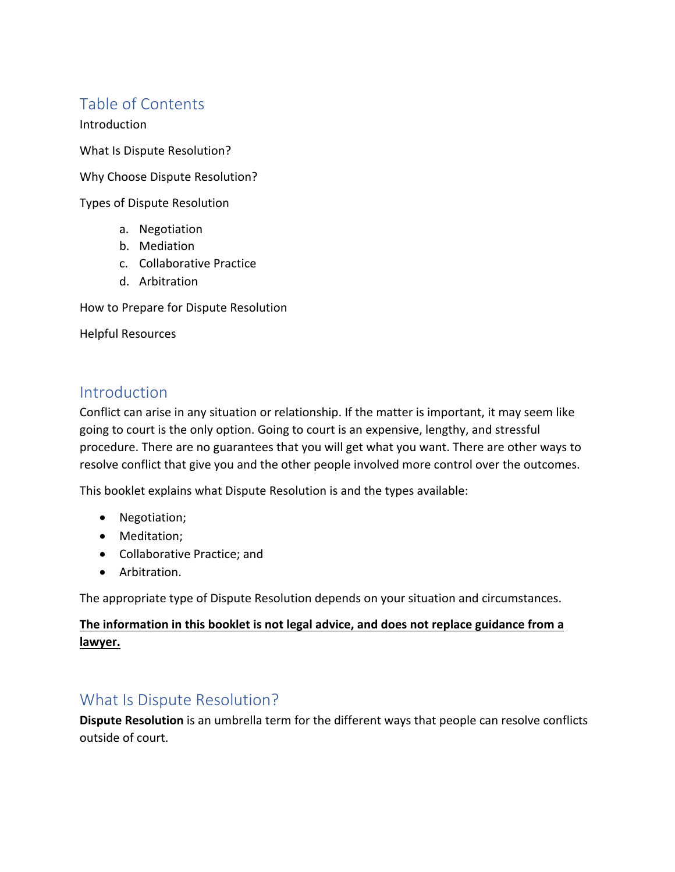# Table of Contents

Introduction

What Is Dispute Resolution?

Why Choose Dispute Resolution?

Types of Dispute Resolution

- a. Negotiation
- b. Mediation
- c. Collaborative Practice
- d. Arbitration

How to Prepare for Dispute Resolution

Helpful Resources

### **Introduction**

Conflict can arise in any situation or relationship. If the matter is important, it may seem like going to court is the only option. Going to court is an expensive, lengthy, and stressful procedure. There are no guarantees that you will get what you want. There are other ways to resolve conflict that give you and the other people involved more control over the outcomes.

This booklet explains what Dispute Resolution is and the types available:

- Negotiation;
- Meditation;
- Collaborative Practice; and
- Arbitration.

The appropriate type of Dispute Resolution depends on your situation and circumstances.

### The information in this booklet is not legal advice, and does not replace guidance from a **lawyer.**

## What Is Dispute Resolution?

**Dispute Resolution** is an umbrella term for the different ways that people can resolve conflicts outside of court.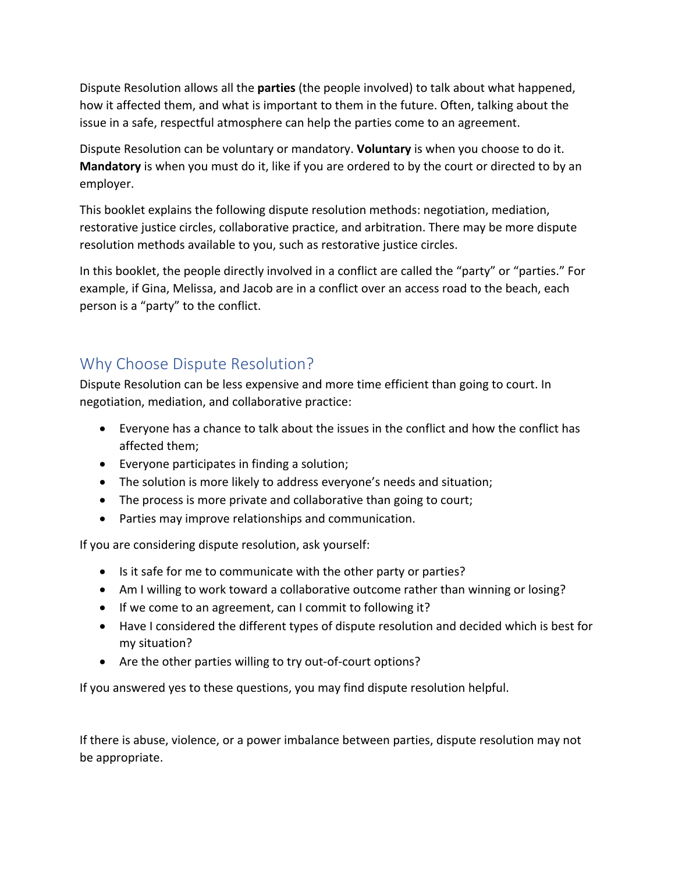Dispute Resolution allows all the **parties** (the people involved) to talk about what happened, how it affected them, and what is important to them in the future. Often, talking about the issue in a safe, respectful atmosphere can help the parties come to an agreement.

Dispute Resolution can be voluntary or mandatory. **Voluntary** is when you choose to do it. **Mandatory** is when you must do it, like if you are ordered to by the court or directed to by an employer.

This booklet explains the following dispute resolution methods: negotiation, mediation, restorative justice circles, collaborative practice, and arbitration. There may be more dispute resolution methods available to you, such as restorative justice circles.

In this booklet, the people directly involved in a conflict are called the "party" or "parties." For example, if Gina, Melissa, and Jacob are in a conflict over an access road to the beach, each person is a "party" to the conflict.

# Why Choose Dispute Resolution?

Dispute Resolution can be less expensive and more time efficient than going to court. In negotiation, mediation, and collaborative practice:

- Everyone has a chance to talk about the issues in the conflict and how the conflict has affected them;
- Everyone participates in finding a solution;
- The solution is more likely to address everyone's needs and situation;
- The process is more private and collaborative than going to court;
- Parties may improve relationships and communication.

If you are considering dispute resolution, ask yourself:

- Is it safe for me to communicate with the other party or parties?
- Am I willing to work toward a collaborative outcome rather than winning or losing?
- If we come to an agreement, can I commit to following it?
- Have I considered the different types of dispute resolution and decided which is best for my situation?
- Are the other parties willing to try out-of-court options?

If you answered yes to these questions, you may find dispute resolution helpful.

If there is abuse, violence, or a power imbalance between parties, dispute resolution may not be appropriate.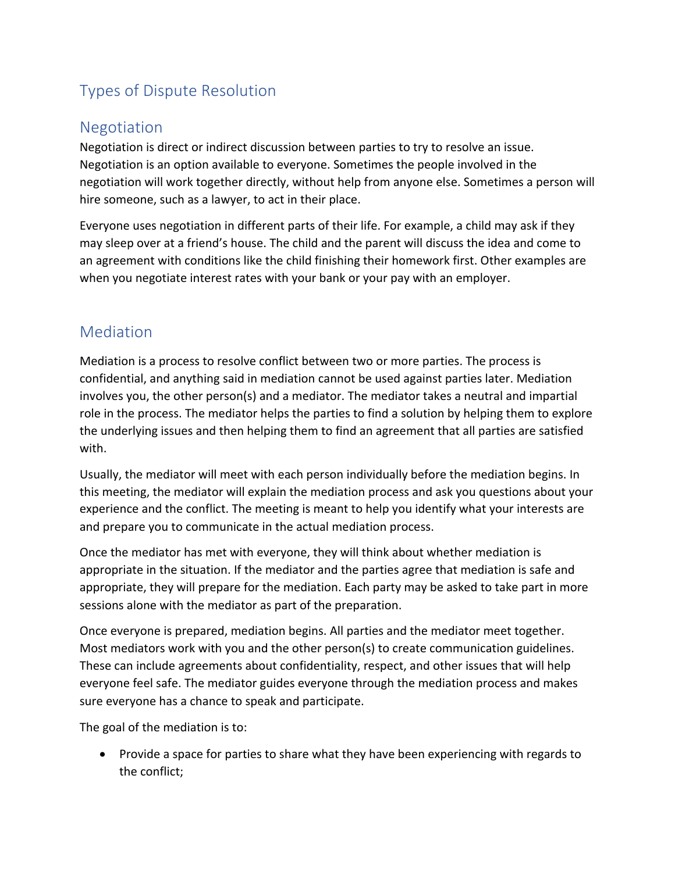# **Types of Dispute Resolution**

# Negotiation

Negotiation is direct or indirect discussion between parties to try to resolve an issue. Negotiation is an option available to everyone. Sometimes the people involved in the negotiation will work together directly, without help from anyone else. Sometimes a person will hire someone, such as a lawyer, to act in their place.

Everyone uses negotiation in different parts of their life. For example, a child may ask if they may sleep over at a friend's house. The child and the parent will discuss the idea and come to an agreement with conditions like the child finishing their homework first. Other examples are when you negotiate interest rates with your bank or your pay with an employer.

# Mediation

Mediation is a process to resolve conflict between two or more parties. The process is confidential, and anything said in mediation cannot be used against parties later. Mediation involves you, the other person(s) and a mediator. The mediator takes a neutral and impartial role in the process. The mediator helps the parties to find a solution by helping them to explore the underlying issues and then helping them to find an agreement that all parties are satisfied with.

Usually, the mediator will meet with each person individually before the mediation begins. In this meeting, the mediator will explain the mediation process and ask you questions about your experience and the conflict. The meeting is meant to help you identify what your interests are and prepare you to communicate in the actual mediation process.

Once the mediator has met with everyone, they will think about whether mediation is appropriate in the situation. If the mediator and the parties agree that mediation is safe and appropriate, they will prepare for the mediation. Each party may be asked to take part in more sessions alone with the mediator as part of the preparation.

Once everyone is prepared, mediation begins. All parties and the mediator meet together. Most mediators work with you and the other  $person(s)$  to create communication guidelines. These can include agreements about confidentiality, respect, and other issues that will help everyone feel safe. The mediator guides everyone through the mediation process and makes sure everyone has a chance to speak and participate.

The goal of the mediation is to:

• Provide a space for parties to share what they have been experiencing with regards to the conflict: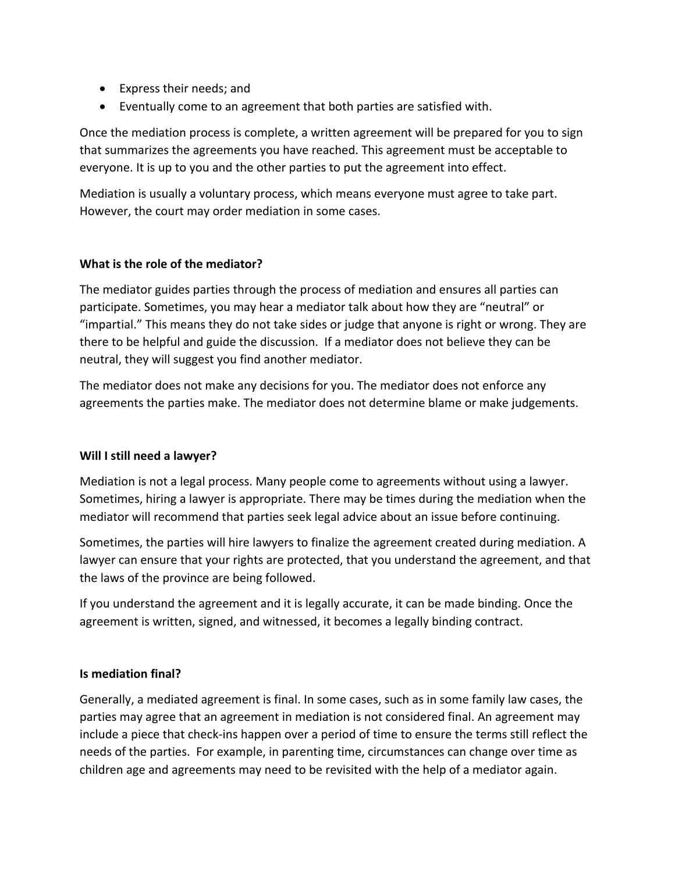- Express their needs; and
- Eventually come to an agreement that both parties are satisfied with.

Once the mediation process is complete, a written agreement will be prepared for you to sign that summarizes the agreements you have reached. This agreement must be acceptable to everyone. It is up to you and the other parties to put the agreement into effect.

Mediation is usually a voluntary process, which means everyone must agree to take part. However, the court may order mediation in some cases.

### **What is the role of the mediator?**

The mediator guides parties through the process of mediation and ensures all parties can participate. Sometimes, you may hear a mediator talk about how they are "neutral" or "impartial." This means they do not take sides or judge that anyone is right or wrong. They are there to be helpful and guide the discussion. If a mediator does not believe they can be neutral, they will suggest you find another mediator.

The mediator does not make any decisions for you. The mediator does not enforce any agreements the parties make. The mediator does not determine blame or make judgements.

#### **Will I still need a lawyer?**

Mediation is not a legal process. Many people come to agreements without using a lawyer. Sometimes, hiring a lawyer is appropriate. There may be times during the mediation when the mediator will recommend that parties seek legal advice about an issue before continuing.

Sometimes, the parties will hire lawyers to finalize the agreement created during mediation. A lawyer can ensure that your rights are protected, that you understand the agreement, and that the laws of the province are being followed.

If you understand the agreement and it is legally accurate, it can be made binding. Once the agreement is written, signed, and witnessed, it becomes a legally binding contract.

#### **Is mediation final?**

Generally, a mediated agreement is final. In some cases, such as in some family law cases, the parties may agree that an agreement in mediation is not considered final. An agreement may include a piece that check-ins happen over a period of time to ensure the terms still reflect the needs of the parties. For example, in parenting time, circumstances can change over time as children age and agreements may need to be revisited with the help of a mediator again.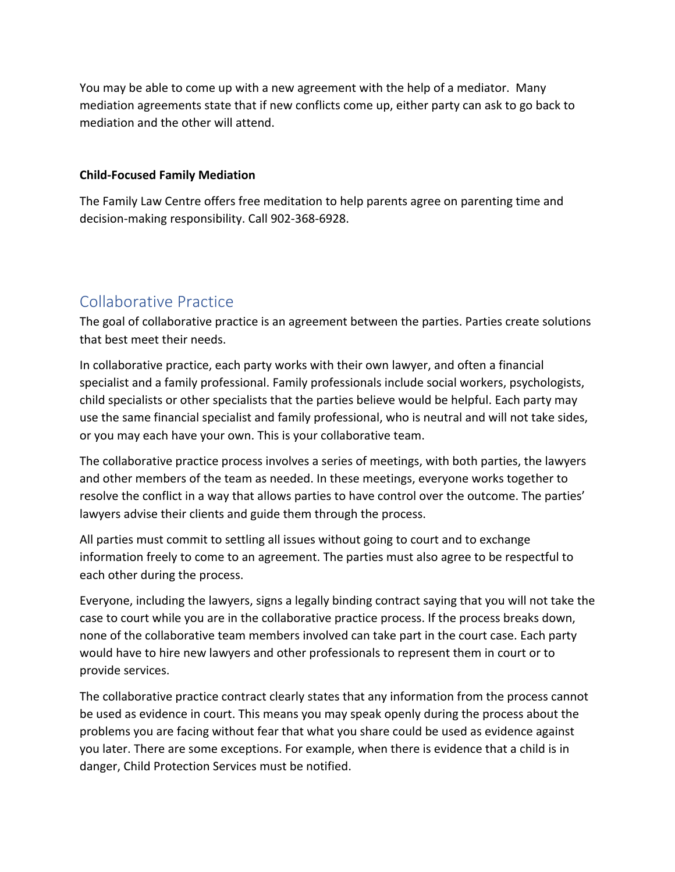You may be able to come up with a new agreement with the help of a mediator. Many mediation agreements state that if new conflicts come up, either party can ask to go back to mediation and the other will attend.

#### **Child-Focused Family Mediation**

The Family Law Centre offers free meditation to help parents agree on parenting time and decision-making responsibility. Call 902-368-6928.

# Collaborative Practice

The goal of collaborative practice is an agreement between the parties. Parties create solutions that best meet their needs.

In collaborative practice, each party works with their own lawyer, and often a financial specialist and a family professional. Family professionals include social workers, psychologists, child specialists or other specialists that the parties believe would be helpful. Each party may use the same financial specialist and family professional, who is neutral and will not take sides, or you may each have your own. This is your collaborative team.

The collaborative practice process involves a series of meetings, with both parties, the lawyers and other members of the team as needed. In these meetings, everyone works together to resolve the conflict in a way that allows parties to have control over the outcome. The parties' lawyers advise their clients and guide them through the process.

All parties must commit to settling all issues without going to court and to exchange information freely to come to an agreement. The parties must also agree to be respectful to each other during the process.

Everyone, including the lawyers, signs a legally binding contract saying that you will not take the case to court while you are in the collaborative practice process. If the process breaks down, none of the collaborative team members involved can take part in the court case. Each party would have to hire new lawyers and other professionals to represent them in court or to provide services.

The collaborative practice contract clearly states that any information from the process cannot be used as evidence in court. This means you may speak openly during the process about the problems you are facing without fear that what you share could be used as evidence against you later. There are some exceptions. For example, when there is evidence that a child is in danger, Child Protection Services must be notified.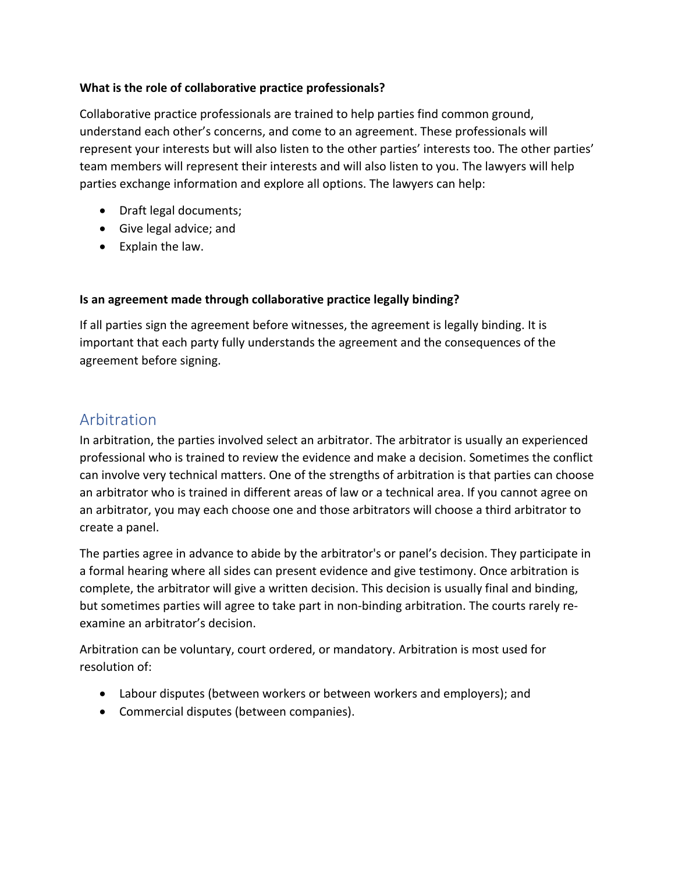### **What is the role of collaborative practice professionals?**

Collaborative practice professionals are trained to help parties find common ground, understand each other's concerns, and come to an agreement. These professionals will represent your interests but will also listen to the other parties' interests too. The other parties' team members will represent their interests and will also listen to you. The lawyers will help parties exchange information and explore all options. The lawyers can help:

- Draft legal documents;
- Give legal advice; and
- $\bullet$  Explain the law.

### **Is an agreement made through collaborative practice legally binding?**

If all parties sign the agreement before witnesses, the agreement is legally binding. It is important that each party fully understands the agreement and the consequences of the agreement before signing.

## Arbitration

In arbitration, the parties involved select an arbitrator. The arbitrator is usually an experienced professional who is trained to review the evidence and make a decision. Sometimes the conflict can involve very technical matters. One of the strengths of arbitration is that parties can choose an arbitrator who is trained in different areas of law or a technical area. If you cannot agree on an arbitrator, you may each choose one and those arbitrators will choose a third arbitrator to create a panel.

The parties agree in advance to abide by the arbitrator's or panel's decision. They participate in a formal hearing where all sides can present evidence and give testimony. Once arbitration is complete, the arbitrator will give a written decision. This decision is usually final and binding, but sometimes parties will agree to take part in non-binding arbitration. The courts rarely reexamine an arbitrator's decision.

Arbitration can be voluntary, court ordered, or mandatory. Arbitration is most used for resolution of:

- Labour disputes (between workers or between workers and employers); and
- Commercial disputes (between companies).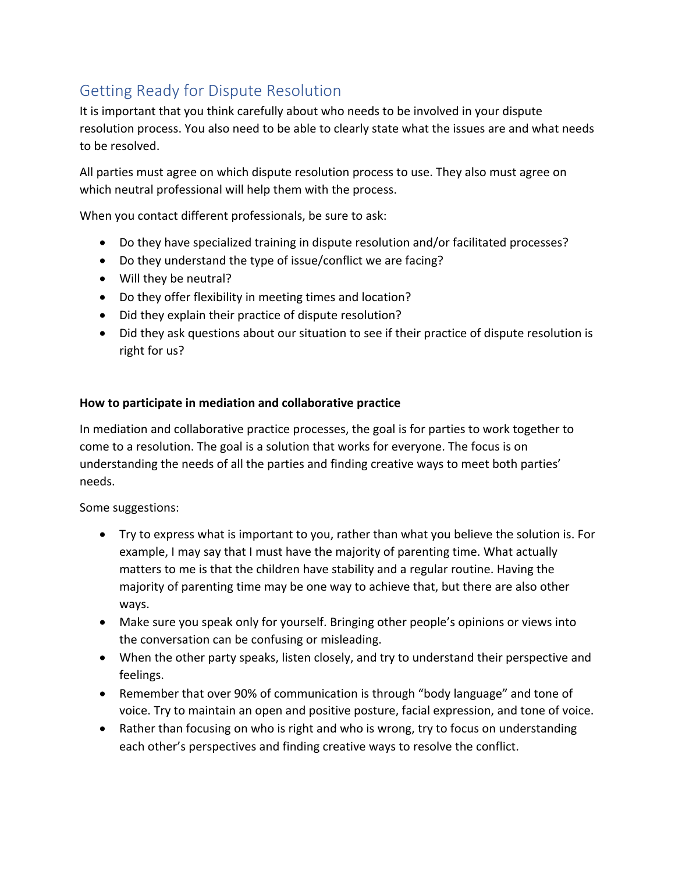# Getting Ready for Dispute Resolution

It is important that you think carefully about who needs to be involved in your dispute resolution process. You also need to be able to clearly state what the issues are and what needs to be resolved.

All parties must agree on which dispute resolution process to use. They also must agree on which neutral professional will help them with the process.

When you contact different professionals, be sure to ask:

- Do they have specialized training in dispute resolution and/or facilitated processes?
- Do they understand the type of issue/conflict we are facing?
- Will they be neutral?
- Do they offer flexibility in meeting times and location?
- Did they explain their practice of dispute resolution?
- Did they ask questions about our situation to see if their practice of dispute resolution is right for us?

### How to participate in mediation and collaborative practice

In mediation and collaborative practice processes, the goal is for parties to work together to come to a resolution. The goal is a solution that works for everyone. The focus is on understanding the needs of all the parties and finding creative ways to meet both parties' needs. 

Some suggestions:

- Try to express what is important to you, rather than what you believe the solution is. For example, I may say that I must have the majority of parenting time. What actually matters to me is that the children have stability and a regular routine. Having the majority of parenting time may be one way to achieve that, but there are also other ways.
- Make sure you speak only for yourself. Bringing other people's opinions or views into the conversation can be confusing or misleading.
- When the other party speaks, listen closely, and try to understand their perspective and feelings.
- Remember that over 90% of communication is through "body language" and tone of voice. Try to maintain an open and positive posture, facial expression, and tone of voice.
- Rather than focusing on who is right and who is wrong, try to focus on understanding each other's perspectives and finding creative ways to resolve the conflict.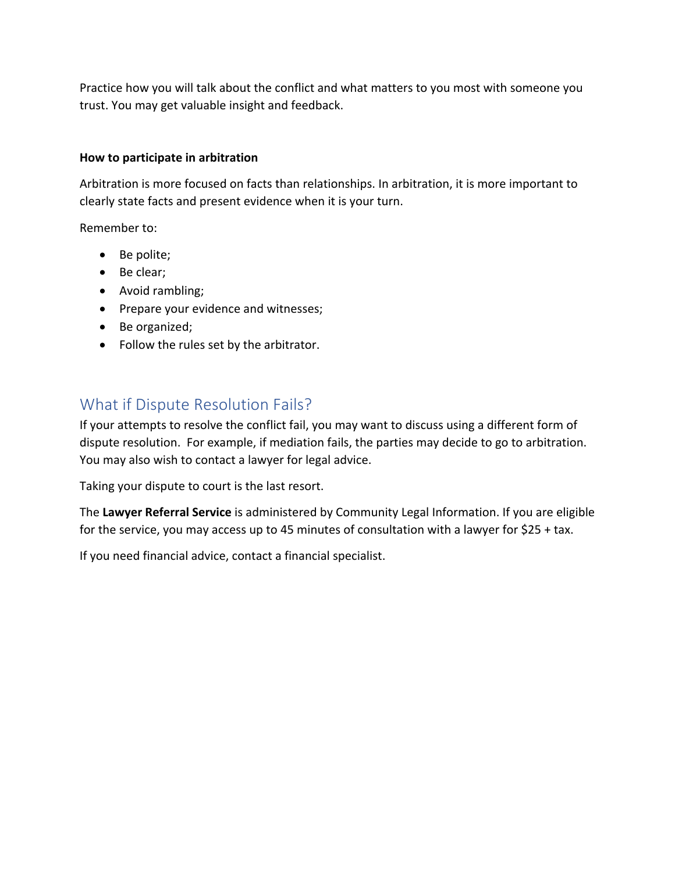Practice how you will talk about the conflict and what matters to you most with someone you trust. You may get valuable insight and feedback.

### **How to participate in arbitration**

Arbitration is more focused on facts than relationships. In arbitration, it is more important to clearly state facts and present evidence when it is your turn.

Remember to:

- Be polite;
- Be clear;
- Avoid rambling;
- Prepare your evidence and witnesses;
- Be organized;
- Follow the rules set by the arbitrator.

## What if Dispute Resolution Fails?

If your attempts to resolve the conflict fail, you may want to discuss using a different form of dispute resolution. For example, if mediation fails, the parties may decide to go to arbitration. You may also wish to contact a lawyer for legal advice.

Taking your dispute to court is the last resort.

The Lawyer Referral Service is administered by Community Legal Information. If you are eligible for the service, you may access up to 45 minutes of consultation with a lawyer for  $$25 + tax$ .

If you need financial advice, contact a financial specialist.